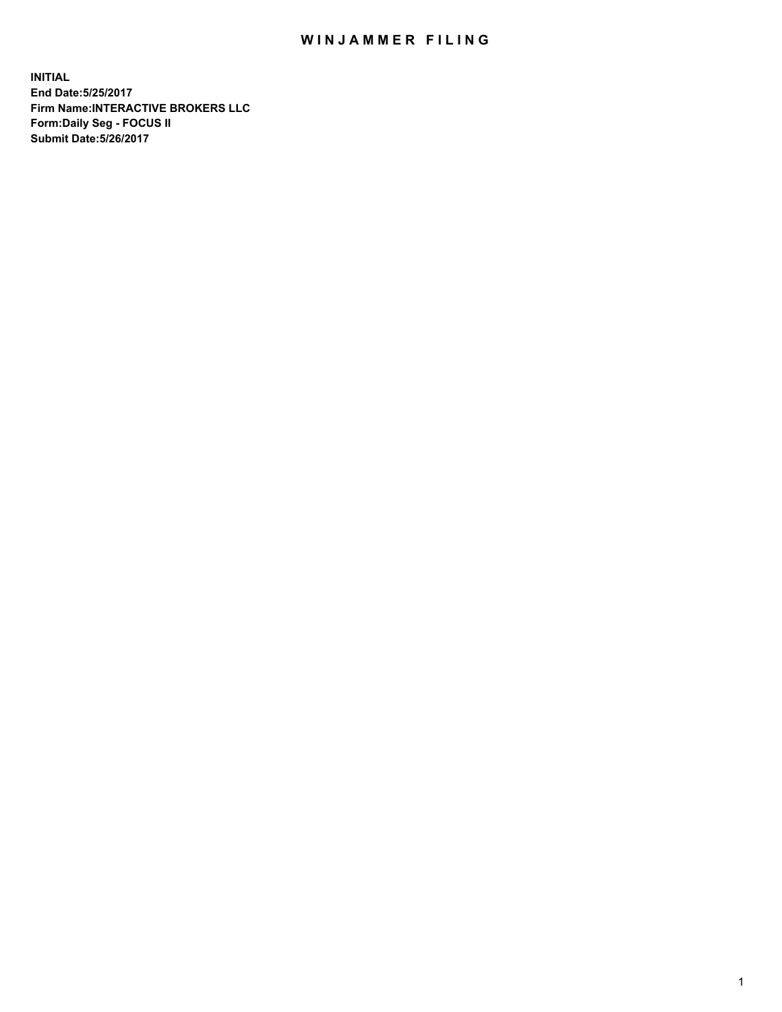## WIN JAMMER FILING

**INITIAL End Date:5/25/2017 Firm Name:INTERACTIVE BROKERS LLC Form:Daily Seg - FOCUS II Submit Date:5/26/2017**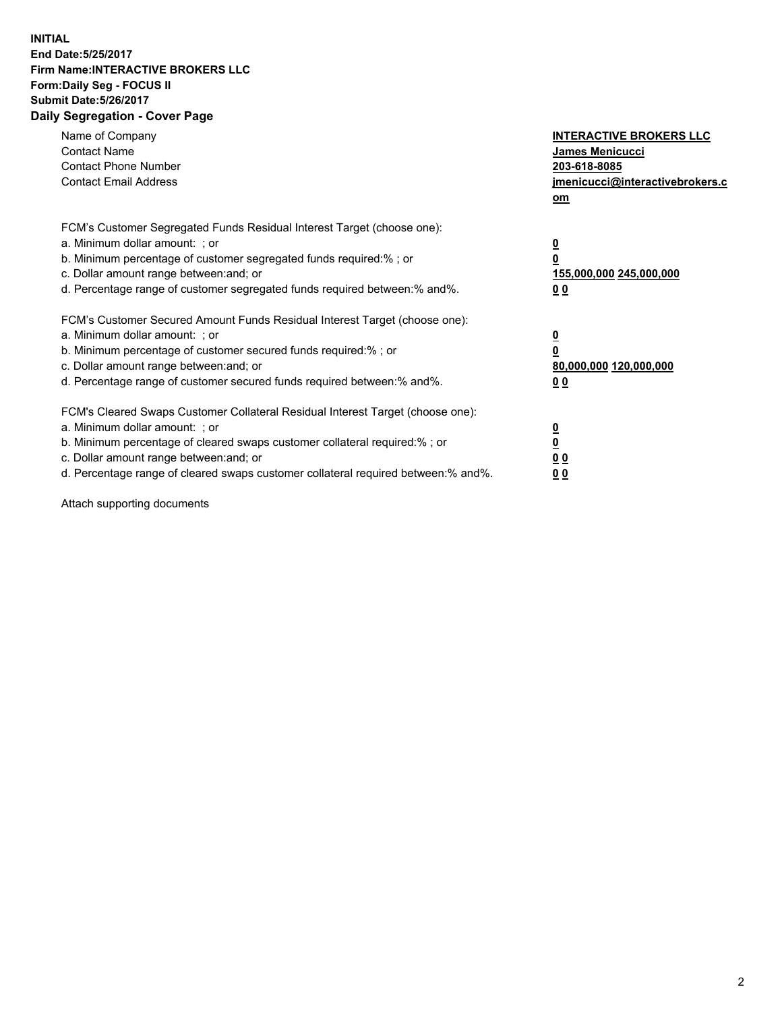## **INITIAL End Date:5/25/2017 Firm Name:INTERACTIVE BROKERS LLC Form:Daily Seg - FOCUS II Submit Date:5/26/2017 Daily Segregation - Cover Page**

| Name of Company<br><b>Contact Name</b><br><b>Contact Phone Number</b><br><b>Contact Email Address</b>                                                                                                                                                                                                                          | <b>INTERACTIVE BROKERS LLC</b><br>James Menicucci<br>203-618-8085<br>jmenicucci@interactivebrokers.c<br>om |
|--------------------------------------------------------------------------------------------------------------------------------------------------------------------------------------------------------------------------------------------------------------------------------------------------------------------------------|------------------------------------------------------------------------------------------------------------|
| FCM's Customer Segregated Funds Residual Interest Target (choose one):<br>a. Minimum dollar amount: ; or<br>b. Minimum percentage of customer segregated funds required:%; or<br>c. Dollar amount range between: and; or<br>d. Percentage range of customer segregated funds required between:% and%.                          | $\overline{\mathbf{0}}$<br>0<br>155,000,000 245,000,000<br>0 <sub>0</sub>                                  |
| FCM's Customer Secured Amount Funds Residual Interest Target (choose one):<br>a. Minimum dollar amount: ; or<br>b. Minimum percentage of customer secured funds required:%; or<br>c. Dollar amount range between: and; or<br>d. Percentage range of customer secured funds required between:% and%.                            | $\overline{\mathbf{0}}$<br>$\overline{\mathbf{0}}$<br>80,000,000 120,000,000<br>00                         |
| FCM's Cleared Swaps Customer Collateral Residual Interest Target (choose one):<br>a. Minimum dollar amount: ; or<br>b. Minimum percentage of cleared swaps customer collateral required:% ; or<br>c. Dollar amount range between: and; or<br>d. Percentage range of cleared swaps customer collateral required between:% and%. | $\overline{\mathbf{0}}$<br>$\overline{\mathbf{0}}$<br>0 <sub>0</sub><br><u>00</u>                          |

Attach supporting documents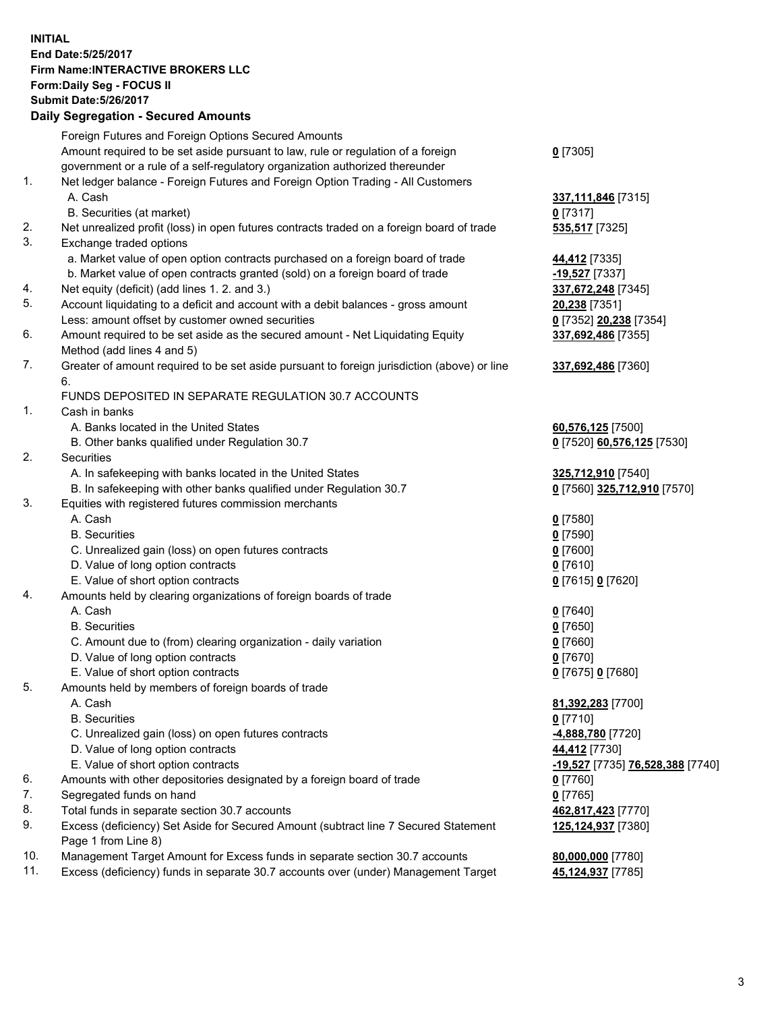## **INITIAL End Date:5/25/2017 Firm Name:INTERACTIVE BROKERS LLC Form:Daily Seg - FOCUS II Submit Date:5/26/2017 Daily Segregation - Secured Amounts**

|          | Dany Ocgregation - Occurea Aniounts                                                                                                  |                                        |
|----------|--------------------------------------------------------------------------------------------------------------------------------------|----------------------------------------|
|          | Foreign Futures and Foreign Options Secured Amounts                                                                                  |                                        |
|          | Amount required to be set aside pursuant to law, rule or regulation of a foreign                                                     | $0$ [7305]                             |
|          | government or a rule of a self-regulatory organization authorized thereunder                                                         |                                        |
| 1.       | Net ledger balance - Foreign Futures and Foreign Option Trading - All Customers                                                      |                                        |
|          | A. Cash                                                                                                                              | 337, 111, 846 [7315]                   |
|          | B. Securities (at market)                                                                                                            | $0$ [7317]                             |
| 2.       | Net unrealized profit (loss) in open futures contracts traded on a foreign board of trade                                            | 535,517 [7325]                         |
| 3.       | Exchange traded options                                                                                                              |                                        |
|          | a. Market value of open option contracts purchased on a foreign board of trade                                                       | 44,412 [7335]                          |
|          | b. Market value of open contracts granted (sold) on a foreign board of trade                                                         | $-19,527$ [7337]                       |
| 4.       | Net equity (deficit) (add lines 1.2. and 3.)                                                                                         | 337,672,248 [7345]                     |
| 5.       | Account liquidating to a deficit and account with a debit balances - gross amount                                                    | 20,238 [7351]                          |
|          | Less: amount offset by customer owned securities                                                                                     | 0 [7352] 20,238 [7354]                 |
| 6.       | Amount required to be set aside as the secured amount - Net Liquidating Equity                                                       | 337,692,486 [7355]                     |
|          | Method (add lines 4 and 5)                                                                                                           |                                        |
| 7.       | Greater of amount required to be set aside pursuant to foreign jurisdiction (above) or line                                          | 337,692,486 [7360]                     |
|          | 6.                                                                                                                                   |                                        |
|          | FUNDS DEPOSITED IN SEPARATE REGULATION 30.7 ACCOUNTS                                                                                 |                                        |
| 1.       | Cash in banks                                                                                                                        |                                        |
|          | A. Banks located in the United States                                                                                                | 60,576,125 [7500]                      |
|          | B. Other banks qualified under Regulation 30.7                                                                                       | 0 [7520] 60,576,125 [7530]             |
| 2.       | Securities                                                                                                                           |                                        |
|          | A. In safekeeping with banks located in the United States                                                                            | 325,712,910 [7540]                     |
|          | B. In safekeeping with other banks qualified under Regulation 30.7                                                                   | 0 [7560] 325,712,910 [7570]            |
| 3.       | Equities with registered futures commission merchants                                                                                |                                        |
|          | A. Cash                                                                                                                              | $0$ [7580]                             |
|          | <b>B.</b> Securities                                                                                                                 | $0$ [7590]                             |
|          | C. Unrealized gain (loss) on open futures contracts                                                                                  | $0$ [7600]                             |
|          | D. Value of long option contracts                                                                                                    | $0$ [7610]                             |
|          | E. Value of short option contracts                                                                                                   | 0 [7615] 0 [7620]                      |
| 4.       | Amounts held by clearing organizations of foreign boards of trade                                                                    |                                        |
|          | A. Cash                                                                                                                              | $0$ [7640]                             |
|          | <b>B.</b> Securities                                                                                                                 | $0$ [7650]                             |
|          | C. Amount due to (from) clearing organization - daily variation                                                                      | $0$ [7660]                             |
|          | D. Value of long option contracts                                                                                                    | $0$ [7670]                             |
|          | E. Value of short option contracts                                                                                                   | 0 [7675] 0 [7680]                      |
| 5.       | Amounts held by members of foreign boards of trade                                                                                   |                                        |
|          | A. Cash                                                                                                                              | 81,392,283 [7700]                      |
|          | <b>B.</b> Securities                                                                                                                 | $0$ [7710]                             |
|          | C. Unrealized gain (loss) on open futures contracts                                                                                  | 4,888,780 [7720]                       |
|          | D. Value of long option contracts                                                                                                    | 44,412 [7730]                          |
|          | E. Value of short option contracts                                                                                                   | -19,527 [7735] 76,528,388 [7740]       |
| 6.<br>7. | Amounts with other depositories designated by a foreign board of trade                                                               | $0$ [7760]                             |
| 8.       | Segregated funds on hand                                                                                                             | $0$ [7765]                             |
| 9.       | Total funds in separate section 30.7 accounts<br>Excess (deficiency) Set Aside for Secured Amount (subtract line 7 Secured Statement | 462,817,423 [7770]                     |
|          | Page 1 from Line 8)                                                                                                                  | 125,124,937 [7380]                     |
| 10.      | Management Target Amount for Excess funds in separate section 30.7 accounts                                                          |                                        |
| 11.      | Excess (deficiency) funds in separate 30.7 accounts over (under) Management Target                                                   | 80,000,000 [7780]<br>45,124,937 [7785] |
|          |                                                                                                                                      |                                        |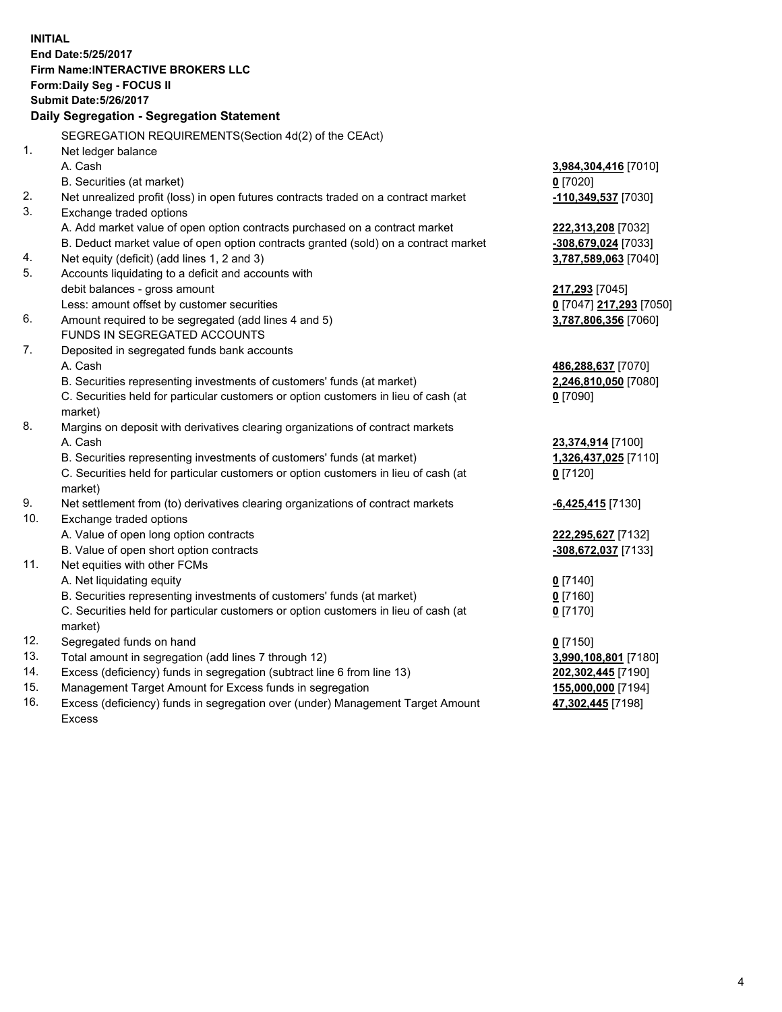**INITIAL End Date:5/25/2017 Firm Name:INTERACTIVE BROKERS LLC Form:Daily Seg - FOCUS II Submit Date:5/26/2017 Daily Segregation - Segregation Statement** SEGREGATION REQUIREMENTS(Section 4d(2) of the CEAct) 1. Net ledger balance A. Cash **3,984,304,416** [7010] B. Securities (at market) **0** [7020] 2. Net unrealized profit (loss) in open futures contracts traded on a contract market **-110,349,537** [7030] 3. Exchange traded options A. Add market value of open option contracts purchased on a contract market **222,313,208** [7032] B. Deduct market value of open option contracts granted (sold) on a contract market **-308,679,024** [7033] 4. Net equity (deficit) (add lines 1, 2 and 3) **3,787,589,063** [7040] 5. Accounts liquidating to a deficit and accounts with debit balances - gross amount **217,293** [7045] Less: amount offset by customer securities **0** [7047] **217,293** [7050] 6. Amount required to be segregated (add lines 4 and 5) **3,787,806,356** [7060] FUNDS IN SEGREGATED ACCOUNTS 7. Deposited in segregated funds bank accounts A. Cash **486,288,637** [7070] B. Securities representing investments of customers' funds (at market) **2,246,810,050** [7080] C. Securities held for particular customers or option customers in lieu of cash (at market) **0** [7090] 8. Margins on deposit with derivatives clearing organizations of contract markets A. Cash **23,374,914** [7100] B. Securities representing investments of customers' funds (at market) **1,326,437,025** [7110] C. Securities held for particular customers or option customers in lieu of cash (at market) **0** [7120] 9. Net settlement from (to) derivatives clearing organizations of contract markets **-6,425,415** [7130] 10. Exchange traded options A. Value of open long option contracts **222,295,627** [7132] B. Value of open short option contracts **-308,672,037** [7133] 11. Net equities with other FCMs A. Net liquidating equity **0** [7140] B. Securities representing investments of customers' funds (at market) **0** [7160] C. Securities held for particular customers or option customers in lieu of cash (at market) **0** [7170] 12. Segregated funds on hand **0** [7150] 13. Total amount in segregation (add lines 7 through 12) **3,990,108,801** [7180] 14. Excess (deficiency) funds in segregation (subtract line 6 from line 13) **202,302,445** [7190] 15. Management Target Amount for Excess funds in segregation **155,000,000** [7194] **47,302,445** [7198]

16. Excess (deficiency) funds in segregation over (under) Management Target Amount Excess